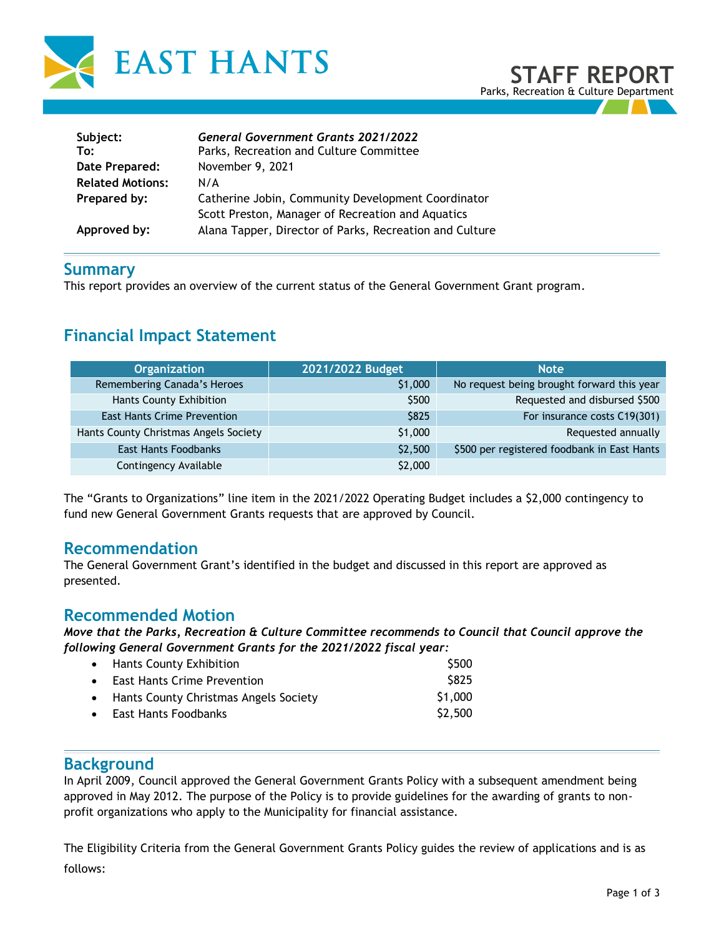

| Subject:<br>To:         | <b>General Government Grants 2021/2022</b><br>Parks, Recreation and Culture Committee |
|-------------------------|---------------------------------------------------------------------------------------|
| Date Prepared:          | November 9, 2021                                                                      |
| <b>Related Motions:</b> | N/A                                                                                   |
| Prepared by:            | Catherine Jobin, Community Development Coordinator                                    |
|                         | Scott Preston, Manager of Recreation and Aquatics                                     |
| Approved by:            | Alana Tapper, Director of Parks, Recreation and Culture                               |

# **Summary**

This report provides an overview of the current status of the General Government Grant program.

# **Financial Impact Statement**

| <b>Organization</b>                   | 2021/2022 Budget | <b>Note</b>                                 |  |
|---------------------------------------|------------------|---------------------------------------------|--|
| Remembering Canada's Heroes           | \$1,000          | No request being brought forward this year  |  |
| Hants County Exhibition               | \$500            | Requested and disbursed \$500               |  |
| <b>East Hants Crime Prevention</b>    | \$825            | For insurance costs C19(301)                |  |
| Hants County Christmas Angels Society | \$1,000          | Requested annually                          |  |
| <b>East Hants Foodbanks</b>           | \$2,500          | \$500 per registered foodbank in East Hants |  |
| Contingency Available                 | \$2,000          |                                             |  |

The "Grants to Organizations" line item in the 2021/2022 Operating Budget includes a \$2,000 contingency to fund new General Government Grants requests that are approved by Council.

# **Recommendation**

The General Government Grant's identified in the budget and discussed in this report are approved as presented.

# **Recommended Motion**

*Move that the Parks, Recreation & Culture Committee recommends to Council that Council approve the following General Government Grants for the 2021/2022 fiscal year:*

| • Hants County Exhibition               | \$500               |
|-----------------------------------------|---------------------|
| • East Hants Crime Prevention           | \$825               |
| • Hants County Christmas Angels Society | \$1,000             |
| • East Hants Foodbanks                  | S <sub>2</sub> ,500 |

# **Background**

In April 2009, Council approved the General Government Grants Policy with a subsequent amendment being approved in May 2012. The purpose of the Policy is to provide guidelines for the awarding of grants to nonprofit organizations who apply to the Municipality for financial assistance.

The Eligibility Criteria from the General Government Grants Policy guides the review of applications and is as follows: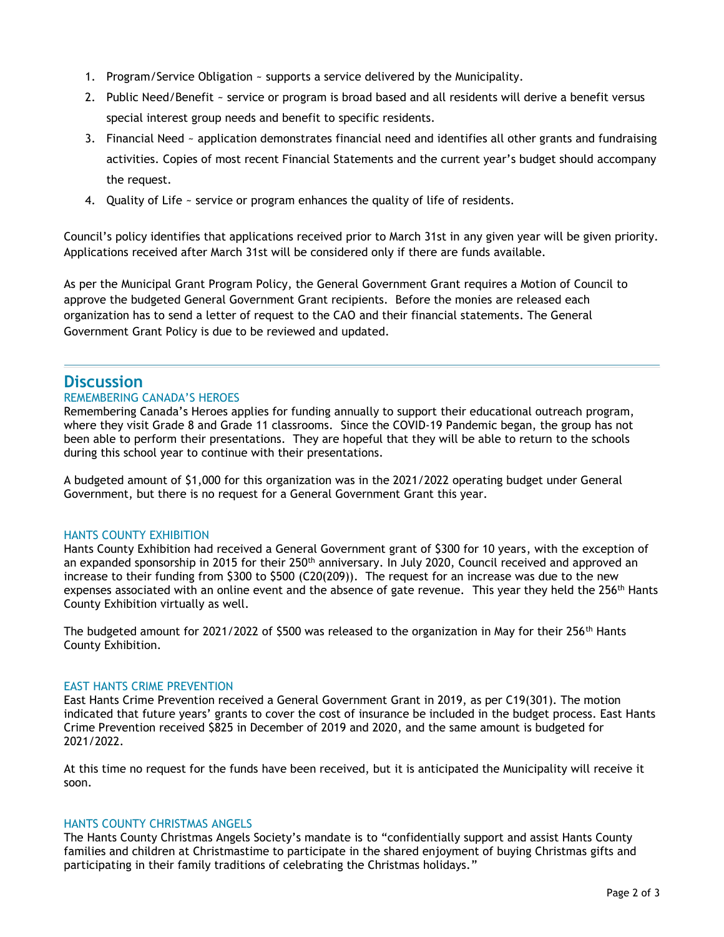- 1. Program/Service Obligation ~ supports a service delivered by the Municipality.
- 2. Public Need/Benefit ~ service or program is broad based and all residents will derive a benefit versus special interest group needs and benefit to specific residents.
- 3. Financial Need ~ application demonstrates financial need and identifies all other grants and fundraising activities. Copies of most recent Financial Statements and the current year's budget should accompany the request.
- 4. Quality of Life ~ service or program enhances the quality of life of residents.

Council's policy identifies that applications received prior to March 31st in any given year will be given priority. Applications received after March 31st will be considered only if there are funds available.

As per the Municipal Grant Program Policy, the General Government Grant requires a Motion of Council to approve the budgeted General Government Grant recipients. Before the monies are released each organization has to send a letter of request to the CAO and their financial statements. The General Government Grant Policy is due to be reviewed and updated.

# **Discussion**

#### REMEMBERING CANADA'S HEROES

Remembering Canada's Heroes applies for funding annually to support their educational outreach program, where they visit Grade 8 and Grade 11 classrooms. Since the COVID-19 Pandemic began, the group has not been able to perform their presentations. They are hopeful that they will be able to return to the schools during this school year to continue with their presentations.

A budgeted amount of \$1,000 for this organization was in the 2021/2022 operating budget under General Government, but there is no request for a General Government Grant this year.

#### HANTS COUNTY EXHIBITION

Hants County Exhibition had received a General Government grant of \$300 for 10 years, with the exception of an expanded sponsorship in 2015 for their 250<sup>th</sup> anniversary. In July 2020, Council received and approved an increase to their funding from \$300 to \$500 (C20(209)). The request for an increase was due to the new expenses associated with an online event and the absence of gate revenue. This year they held the 256<sup>th</sup> Hants County Exhibition virtually as well.

The budgeted amount for 2021/2022 of \$500 was released to the organization in May for their 256<sup>th</sup> Hants County Exhibition.

#### EAST HANTS CRIME PREVENTION

East Hants Crime Prevention received a General Government Grant in 2019, as per C19(301). The motion indicated that future years' grants to cover the cost of insurance be included in the budget process. East Hants Crime Prevention received \$825 in December of 2019 and 2020, and the same amount is budgeted for 2021/2022.

At this time no request for the funds have been received, but it is anticipated the Municipality will receive it soon.

#### HANTS COUNTY CHRISTMAS ANGELS

The Hants County Christmas Angels Society's mandate is to "confidentially support and assist Hants County families and children at Christmastime to participate in the shared enjoyment of buying Christmas gifts and participating in their family traditions of celebrating the Christmas holidays."